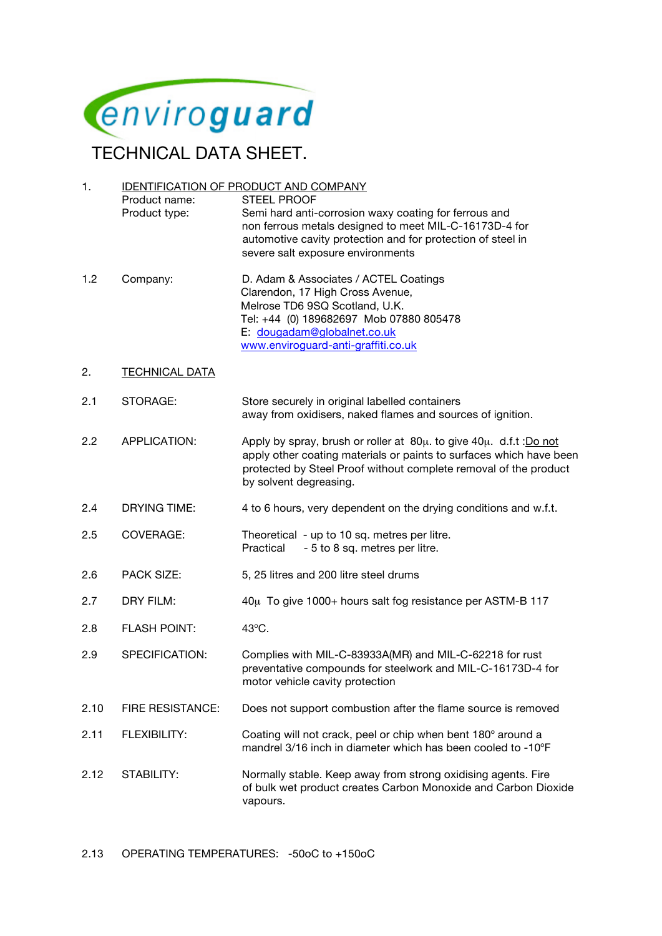

TECHNICAL DATA SHEET.

| 1.   | <b>IDENTIFICATION OF PRODUCT AND COMPANY</b> |                                                                                                                                                                                                                                                    |
|------|----------------------------------------------|----------------------------------------------------------------------------------------------------------------------------------------------------------------------------------------------------------------------------------------------------|
|      | Product name:<br>Product type:               | <b>STEEL PROOF</b><br>Semi hard anti-corrosion waxy coating for ferrous and<br>non ferrous metals designed to meet MIL-C-16173D-4 for                                                                                                              |
|      |                                              | automotive cavity protection and for protection of steel in<br>severe salt exposure environments                                                                                                                                                   |
| 1.2  | Company:                                     | D. Adam & Associates / ACTEL Coatings<br>Clarendon, 17 High Cross Avenue,<br>Melrose TD6 9SQ Scotland, U.K.<br>Tel: +44 (0) 189682697 Mob 07880 805478<br>E: dougadam@globalnet.co.uk<br>www.enviroguard-anti-graffiti.co.uk                       |
| 2.   | <b>TECHNICAL DATA</b>                        |                                                                                                                                                                                                                                                    |
| 2.1  | STORAGE:                                     | Store securely in original labelled containers<br>away from oxidisers, naked flames and sources of ignition.                                                                                                                                       |
| 2.2  | APPLICATION:                                 | Apply by spray, brush or roller at $80\mu$ . to give $40\mu$ . d.f.t : Do not<br>apply other coating materials or paints to surfaces which have been<br>protected by Steel Proof without complete removal of the product<br>by solvent degreasing. |
| 2.4  | <b>DRYING TIME:</b>                          | 4 to 6 hours, very dependent on the drying conditions and w.f.t.                                                                                                                                                                                   |
| 2.5  | COVERAGE:                                    | Theoretical - up to 10 sq. metres per litre.<br>Practical<br>- 5 to 8 sq. metres per litre.                                                                                                                                                        |
| 2.6  | <b>PACK SIZE:</b>                            | 5, 25 litres and 200 litre steel drums                                                                                                                                                                                                             |
| 2.7  | DRY FILM:                                    | 40μ To give 1000+ hours salt fog resistance per ASTM-B 117                                                                                                                                                                                         |
| 2.8  | <b>FLASH POINT:</b>                          | 43°C.                                                                                                                                                                                                                                              |
| 2.9  | SPECIFICATION:                               | Complies with MIL-C-83933A(MR) and MIL-C-62218 for rust<br>preventative compounds for steelwork and MIL-C-16173D-4 for<br>motor vehicle cavity protection                                                                                          |
| 2.10 | <b>FIRE RESISTANCE:</b>                      | Does not support combustion after the flame source is removed                                                                                                                                                                                      |
| 2.11 | <b>FLEXIBILITY:</b>                          | Coating will not crack, peel or chip when bent 180° around a<br>mandrel 3/16 inch in diameter which has been cooled to -10°F                                                                                                                       |
| 2.12 | STABILITY:                                   | Normally stable. Keep away from strong oxidising agents. Fire<br>of bulk wet product creates Carbon Monoxide and Carbon Dioxide<br>vapours.                                                                                                        |